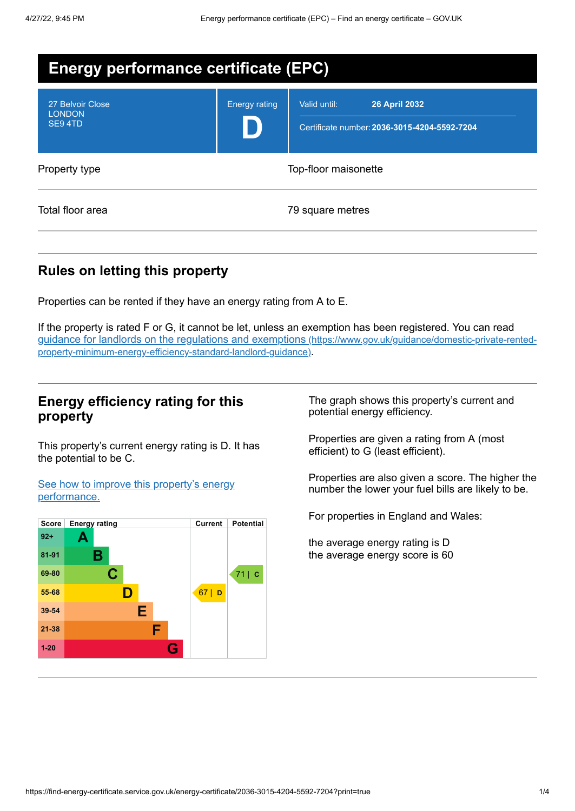| <b>Energy performance certificate (EPC)</b> |                      |                                                                                      |
|---------------------------------------------|----------------------|--------------------------------------------------------------------------------------|
| 27 Belvoir Close<br><b>LONDON</b><br>SE94TD | <b>Energy rating</b> | Valid until:<br><b>26 April 2032</b><br>Certificate number: 2036-3015-4204-5592-7204 |
| Property type                               |                      | Top-floor maisonette                                                                 |
| Total floor area                            |                      | 79 square metres                                                                     |

# **Rules on letting this property**

Properties can be rented if they have an energy rating from A to E.

If the property is rated F or G, it cannot be let, unless an exemption has been registered. You can read guidance for landlords on the regulations and exemptions (https://www.gov.uk/guidance/domestic-private-rented[property-minimum-energy-efficiency-standard-landlord-guidance\)](https://www.gov.uk/guidance/domestic-private-rented-property-minimum-energy-efficiency-standard-landlord-guidance).

## **Energy efficiency rating for this property**

This property's current energy rating is D. It has the potential to be C.

See how to improve this property's energy [performance.](#page-2-0)



The graph shows this property's current and potential energy efficiency.

Properties are given a rating from A (most efficient) to G (least efficient).

Properties are also given a score. The higher the number the lower your fuel bills are likely to be.

For properties in England and Wales:

the average energy rating is D the average energy score is 60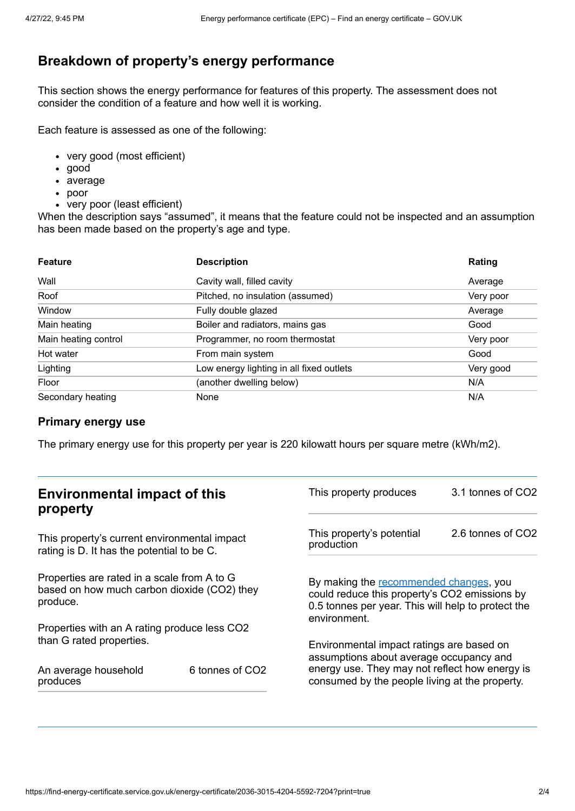# **Breakdown of property's energy performance**

This section shows the energy performance for features of this property. The assessment does not consider the condition of a feature and how well it is working.

Each feature is assessed as one of the following:

- very good (most efficient)
- good
- average
- poor
- very poor (least efficient)

When the description says "assumed", it means that the feature could not be inspected and an assumption has been made based on the property's age and type.

| <b>Feature</b>       | <b>Description</b>                       | Rating    |
|----------------------|------------------------------------------|-----------|
| Wall                 | Cavity wall, filled cavity               | Average   |
| Roof                 | Pitched, no insulation (assumed)         | Very poor |
| Window               | Fully double glazed                      | Average   |
| Main heating         | Boiler and radiators, mains gas          | Good      |
| Main heating control | Programmer, no room thermostat           | Very poor |
| Hot water            | From main system                         | Good      |
| Lighting             | Low energy lighting in all fixed outlets | Very good |
| Floor                | (another dwelling below)                 | N/A       |
| Secondary heating    | None                                     | N/A       |

#### **Primary energy use**

The primary energy use for this property per year is 220 kilowatt hours per square metre (kWh/m2).

| <b>Environmental impact of this</b><br>property                                                        |                 | This property produces                                                                                                                                                                   | 3.1 tonnes of CO2 |
|--------------------------------------------------------------------------------------------------------|-----------------|------------------------------------------------------------------------------------------------------------------------------------------------------------------------------------------|-------------------|
| This property's current environmental impact<br>rating is D. It has the potential to be C.             |                 | This property's potential<br>production                                                                                                                                                  | 2.6 tonnes of CO2 |
| Properties are rated in a scale from A to G<br>based on how much carbon dioxide (CO2) they<br>produce. |                 | By making the recommended changes, you<br>could reduce this property's CO2 emissions by<br>0.5 tonnes per year. This will help to protect the<br>environment.                            |                   |
| Properties with an A rating produce less CO2                                                           |                 |                                                                                                                                                                                          |                   |
| than G rated properties.<br>An average household<br>produces                                           | 6 tonnes of CO2 | Environmental impact ratings are based on<br>assumptions about average occupancy and<br>energy use. They may not reflect how energy is<br>consumed by the people living at the property. |                   |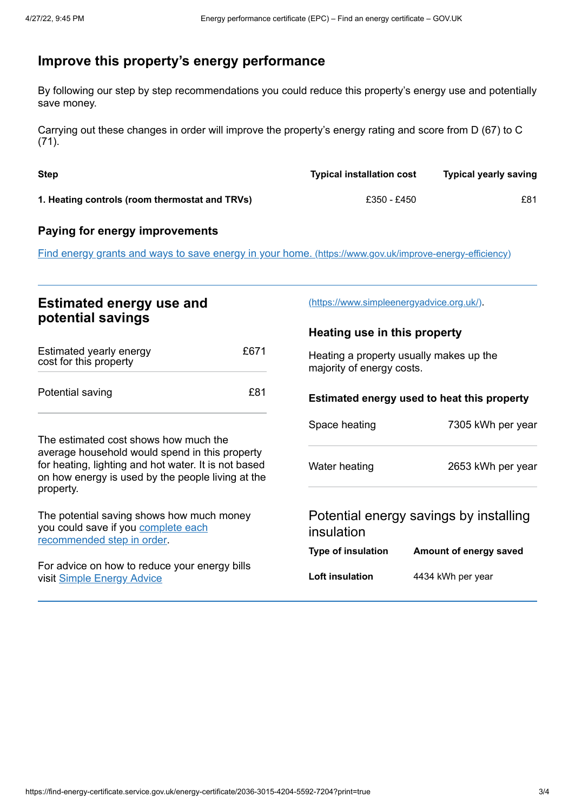# <span id="page-2-0"></span>**Improve this property's energy performance**

By following our step by step recommendations you could reduce this property's energy use and potentially save money.

Carrying out these changes in order will improve the property's energy rating and score from D (67) to C (71).

| <b>Step</b>                                    | <b>Typical installation cost</b> | <b>Typical yearly saving</b> |
|------------------------------------------------|----------------------------------|------------------------------|
| 1. Heating controls (room thermostat and TRVs) | £350 - £450                      | £81                          |

#### **Paying for energy improvements**

Find energy grants and ways to save energy in your home. [\(https://www.gov.uk/improve-energy-efficiency\)](https://www.gov.uk/improve-energy-efficiency)

## **Estimated energy use and potential savings**

| Estimated yearly energy<br>cost for this property | £671 |
|---------------------------------------------------|------|
| Potential saving                                  | £81  |

The estimated cost shows how much the average household would spend in this property for heating, lighting and hot water. It is not based on how energy is used by the people living at the property.

The potential saving shows how much money you could save if you complete each [recommended](#page-2-0) step in order.

For advice on how to reduce your energy bills visit Simple [Energy](https://www.simpleenergyadvice.org.uk/) Advice

[\(https://www.simpleenergyadvice.org.uk/\)](https://www.simpleenergyadvice.org.uk/).

#### **Heating use in this property**

Heating a property usually makes up the majority of energy costs.

#### **Estimated energy used to heat this property**

| Space heating | 7305 kWh per year |
|---------------|-------------------|
| Water heating | 2653 kWh per year |

## Potential energy savings by installing insulation

| Type of insulation | Amount of energy saved |
|--------------------|------------------------|
| Loft insulation    | 4434 kWh per year      |